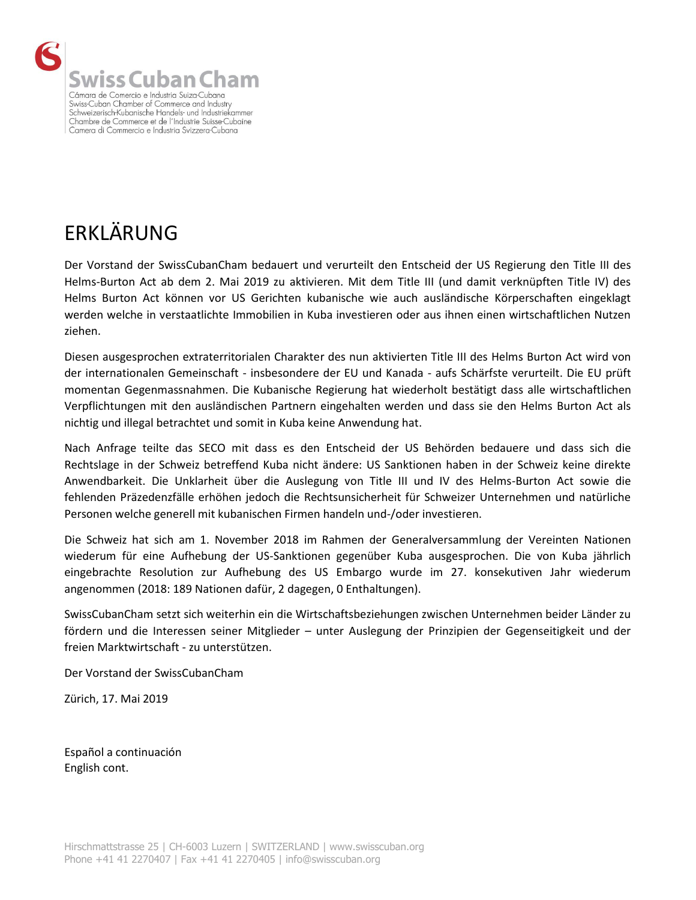

## ERKLÄRUNG

Der Vorstand der SwissCubanCham bedauert und verurteilt den Entscheid der US Regierung den Title III des Helms-Burton Act ab dem 2. Mai 2019 zu aktivieren. Mit dem Title III (und damit verknüpften Title IV) des Helms Burton Act können vor US Gerichten kubanische wie auch ausländische Körperschaften eingeklagt werden welche in verstaatlichte Immobilien in Kuba investieren oder aus ihnen einen wirtschaftlichen Nutzen ziehen.

Diesen ausgesprochen extraterritorialen Charakter des nun aktivierten Title III des Helms Burton Act wird von der internationalen Gemeinschaft - insbesondere der EU und Kanada - aufs Schärfste verurteilt. Die EU prüft momentan Gegenmassnahmen. Die Kubanische Regierung hat wiederholt bestätigt dass alle wirtschaftlichen Verpflichtungen mit den ausländischen Partnern eingehalten werden und dass sie den Helms Burton Act als nichtig und illegal betrachtet und somit in Kuba keine Anwendung hat.

Nach Anfrage teilte das SECO mit dass es den Entscheid der US Behörden bedauere und dass sich die Rechtslage in der Schweiz betreffend Kuba nicht ändere: US Sanktionen haben in der Schweiz keine direkte Anwendbarkeit. Die Unklarheit über die Auslegung von Title III und IV des Helms-Burton Act sowie die fehlenden Präzedenzfälle erhöhen jedoch die Rechtsunsicherheit für Schweizer Unternehmen und natürliche Personen welche generell mit kubanischen Firmen handeln und-/oder investieren.

Die Schweiz hat sich am 1. November 2018 im Rahmen der Generalversammlung der Vereinten Nationen wiederum für eine Aufhebung der US-Sanktionen gegenüber Kuba ausgesprochen. Die von Kuba jährlich eingebrachte Resolution zur Aufhebung des US Embargo wurde im 27. konsekutiven Jahr wiederum angenommen (2018: 189 Nationen dafür, 2 dagegen, 0 Enthaltungen).

SwissCubanCham setzt sich weiterhin ein die Wirtschaftsbeziehungen zwischen Unternehmen beider Länder zu fördern und die Interessen seiner Mitglieder – unter Auslegung der Prinzipien der Gegenseitigkeit und der freien Marktwirtschaft - zu unterstützen.

Der Vorstand der SwissCubanCham

Zürich, 17. Mai 2019

Español a continuación English cont.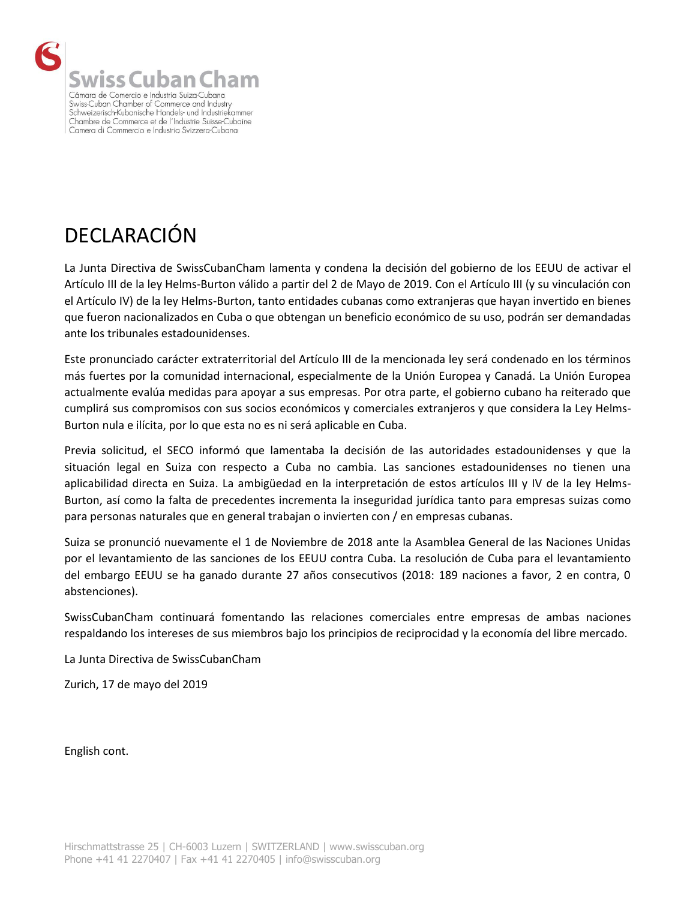

## DECLARACIÓN

La Junta Directiva de SwissCubanCham lamenta y condena la decisión del gobierno de los EEUU de activar el Artículo III de la ley Helms-Burton válido a partir del 2 de Mayo de 2019. Con el Artículo III (y su vinculación con el Artículo IV) de la ley Helms-Burton, tanto entidades cubanas como extranjeras que hayan invertido en bienes que fueron nacionalizados en Cuba o que obtengan un beneficio económico de su uso, podrán ser demandadas ante los tribunales estadounidenses.

Este pronunciado carácter extraterritorial del Artículo III de la mencionada ley será condenado en los términos más fuertes por la comunidad internacional, especialmente de la Unión Europea y Canadá. La Unión Europea actualmente evalúa medidas para apoyar a sus empresas. Por otra parte, el gobierno cubano ha reiterado que cumplirá sus compromisos con sus socios económicos y comerciales extranjeros y que considera la Ley Helms-Burton nula e ilícita, por lo que esta no es ni será aplicable en Cuba.

Previa solicitud, el SECO informó que lamentaba la decisión de las autoridades estadounidenses y que la situación legal en Suiza con respecto a Cuba no cambia. Las sanciones estadounidenses no tienen una aplicabilidad directa en Suiza. La ambigüedad en la interpretación de estos artículos III y IV de la ley Helms-Burton, así como la falta de precedentes incrementa la inseguridad jurídica tanto para empresas suizas como para personas naturales que en general trabajan o invierten con / en empresas cubanas.

Suiza se pronunció nuevamente el 1 de Noviembre de 2018 ante la Asamblea General de las Naciones Unidas por el levantamiento de las sanciones de los EEUU contra Cuba. La resolución de Cuba para el levantamiento del embargo EEUU se ha ganado durante 27 años consecutivos (2018: 189 naciones a favor, 2 en contra, 0 abstenciones).

SwissCubanCham continuará fomentando las relaciones comerciales entre empresas de ambas naciones respaldando los intereses de sus miembros bajo los principios de reciprocidad y la economía del libre mercado.

La Junta Directiva de SwissCubanCham

Zurich, 17 de mayo del 2019

English cont.